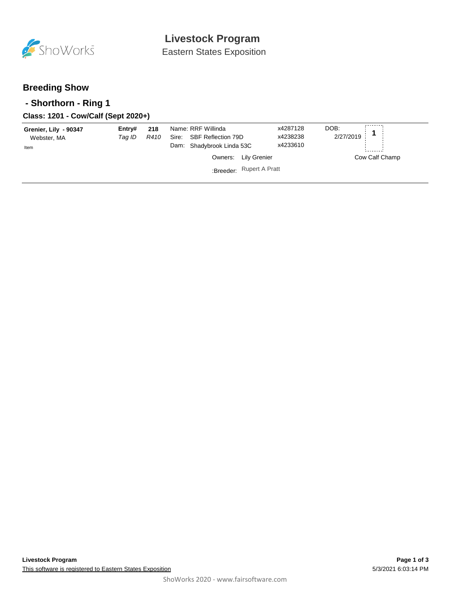

Eastern States Exposition

## **Breeding Show**

### **- Shorthorn - Ring 1**

### **Class: 1201 - Cow/Calf (Sept 2020+)**

| Grenier, Lily - 90347<br>Webster, MA | Entry#<br>Tag ID | 218<br>R410 | Name: RRF Willinda<br>Sire: SBF Reflection 79D |                          | x4287128<br>x4238238 | DOB:<br>2/27/2019 |                |
|--------------------------------------|------------------|-------------|------------------------------------------------|--------------------------|----------------------|-------------------|----------------|
| Item                                 |                  |             | Dam: Shadybrook Linda 53C                      |                          | x4233610             |                   |                |
|                                      |                  |             |                                                | Owners: Lily Grenier     |                      |                   | Cow Calf Champ |
|                                      |                  |             |                                                | :Breeder: Rupert A Pratt |                      |                   |                |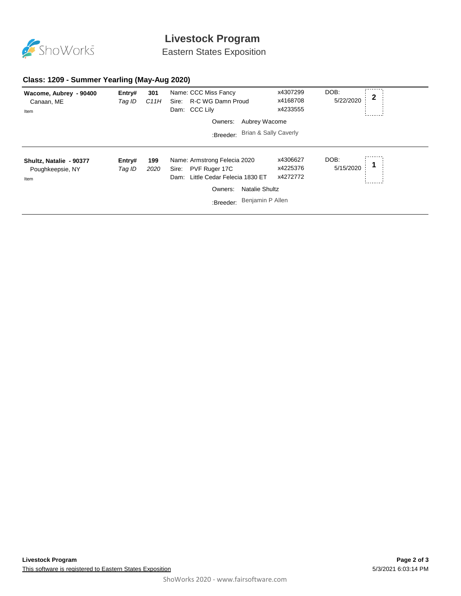

# **Livestock Program**

Eastern States Exposition

#### **Class: 1209 - Summer Yearling (May-Aug 2020)**

| Wacome, Aubrey - 90400<br>Canaan, ME<br>Item        | Entry#<br>Tag ID | 301<br>C11H | Name: CCC Miss Fancy<br>R-C WG Damn Proud<br>Sire:<br>Dam: CCC Lily                                                                                                 | x4307299<br>x4168708<br>x4233555 | DOB:<br>$\mathbf 2$<br>5/22/2020 |
|-----------------------------------------------------|------------------|-------------|---------------------------------------------------------------------------------------------------------------------------------------------------------------------|----------------------------------|----------------------------------|
|                                                     |                  |             | Aubrey Wacome<br>Owners:                                                                                                                                            |                                  |                                  |
|                                                     |                  |             | <b>Brian &amp; Sally Caverly</b><br>:Breeder:                                                                                                                       |                                  |                                  |
| Shultz, Natalie - 90377<br>Poughkeepsie, NY<br>Item | Entry#<br>Tag ID | 199<br>2020 | Name: Armstrong Felecia 2020<br>PVF Ruger 17C<br>Sire:<br>Little Cedar Felecia 1830 ET<br>Dam:<br><b>Natalie Shultz</b><br>Owners:<br>Benjamin P Allen<br>:Breeder: | x4306627<br>x4225376<br>x4272772 | DOB:<br>5/15/2020                |